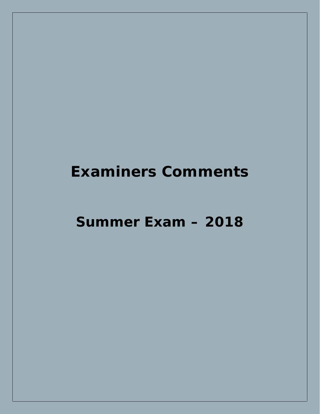**Summer Exam – 2018**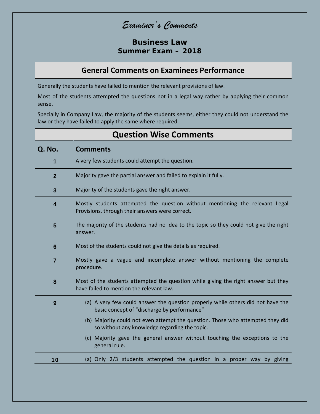**Business Law Summer Exam – 2018**

### **General Comments on Examinees Performance**

Generally the students have failed to mention the relevant provisions of law.

Most of the students attempted the questions not in a legal way rather by applying their common sense.

Specially in Company Law, the majority of the students seems, either they could not understand the law or they have failed to apply the same where required.

| Q. No.                  | <b>Comments</b>                                                                                                                 |  |
|-------------------------|---------------------------------------------------------------------------------------------------------------------------------|--|
| $\mathbf 1$             | A very few students could attempt the question.                                                                                 |  |
| $\overline{2}$          | Majority gave the partial answer and failed to explain it fully.                                                                |  |
| $\overline{\mathbf{3}}$ | Majority of the students gave the right answer.                                                                                 |  |
| 4                       | Mostly students attempted the question without mentioning the relevant Legal<br>Provisions, through their answers were correct. |  |
| 5                       | The majority of the students had no idea to the topic so they could not give the right<br>answer.                               |  |
| $6\phantom{1}$          | Most of the students could not give the details as required.                                                                    |  |
| $\overline{7}$          | Mostly gave a vague and incomplete answer without mentioning the complete<br>procedure.                                         |  |
| 8                       | Most of the students attempted the question while giving the right answer but they<br>have failed to mention the relevant law.  |  |
| 9                       | (a) A very few could answer the question properly while others did not have the<br>basic concept of "discharge by performance"  |  |
|                         | (b) Majority could not even attempt the question. Those who attempted they did<br>so without any knowledge regarding the topic. |  |
|                         | (c) Majority gave the general answer without touching the exceptions to the<br>general rule.                                    |  |
| 10                      | (a) Only 2/3 students attempted the question in a proper way by giving                                                          |  |

### **Question Wise Comments**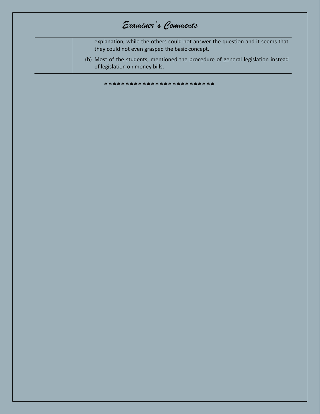| Examiner's Comments                                                                                                             |
|---------------------------------------------------------------------------------------------------------------------------------|
| explanation, while the others could not answer the question and it seems that<br>they could not even grasped the basic concept. |
| (b) Most of the students, mentioned the procedure of general legislation instead<br>of legislation on money bills.              |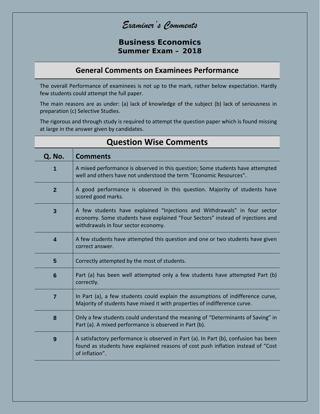*Examiner's Comments*

**Business Economics Summer Exam – 2018**

### **General Comments on Examinees Performance**

The overall Performance of examinees is not up to the mark, rather below expectation. Hardly few students could attempt the full paper.

The main reasons are as under: (a) lack of knowledge of the subject (b) lack of seriousness in preparation (c) Selective Studies.

The rigorous and through study is required to attempt the question paper which is found missing at large in the answer given by candidates.

| Q. No.          | <b>Comments</b>                                                                                                                                                                                    |
|-----------------|----------------------------------------------------------------------------------------------------------------------------------------------------------------------------------------------------|
| 1               | A mixed performance is observed in this question; Some students have attempted<br>well and others have not understood the term "Economic Resources".                                               |
| $\overline{2}$  | A good performance is observed in this question. Majority of students have<br>scored good marks.                                                                                                   |
| $\mathbf{3}$    | A few students have explained "Injections and Withdrawals" in four sector<br>economy. Some students have explained "Four Sectors" instead of injections and<br>withdrawals in four sector economy. |
| 4               | A few students have attempted this question and one or two students have given<br>correct answer.                                                                                                  |
| $5\phantom{1}$  | Correctly attempted by the most of students.                                                                                                                                                       |
| $6\phantom{1}6$ | Part (a) has been well attempted only a few students have attempted Part (b)<br>correctly.                                                                                                         |
| $\overline{7}$  | In Part (a), a few students could explain the assumptions of indifference curve,<br>Majority of students have mixed it with properties of indifference curve.                                      |
| 8               | Only a few students could understand the meaning of "Determinants of Saving" in<br>Part (a). A mixed performance is observed in Part (b).                                                          |
| 9               | A satisfactory performance is observed in Part (a). In Part (b), confusion has been<br>found as students have explained reasons of cost push inflation instead of "Cost<br>of inflation".          |

### **Question Wise Comments**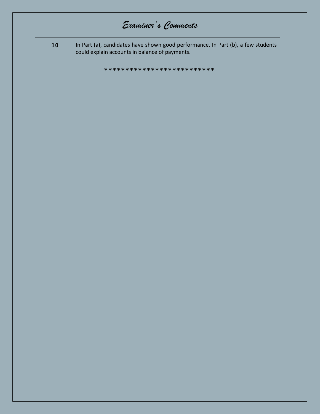| 10 | In Part (a), candidates have shown good performance. In Part (b), a few students<br>could explain accounts in balance of payments. |
|----|------------------------------------------------------------------------------------------------------------------------------------|
|    | **************************                                                                                                         |
|    |                                                                                                                                    |
|    |                                                                                                                                    |
|    |                                                                                                                                    |
|    |                                                                                                                                    |
|    |                                                                                                                                    |
|    |                                                                                                                                    |
|    |                                                                                                                                    |
|    |                                                                                                                                    |
|    |                                                                                                                                    |
|    |                                                                                                                                    |
|    |                                                                                                                                    |
|    |                                                                                                                                    |
|    |                                                                                                                                    |
|    |                                                                                                                                    |
|    |                                                                                                                                    |
|    |                                                                                                                                    |
|    |                                                                                                                                    |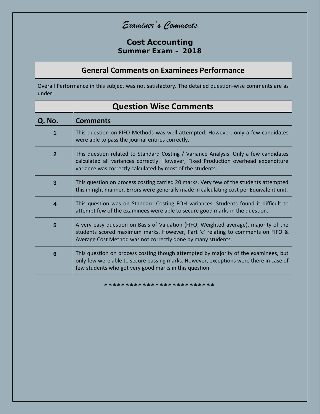**Cost Accounting Summer Exam – 2018**

#### **General Comments on Examinees Performance**

Overall Performance in this subject was not satisfactory. The detailed question-wise comments are as under:

| Q. No.                  | <b>Comments</b>                                                                                                                                                                                                                          |
|-------------------------|------------------------------------------------------------------------------------------------------------------------------------------------------------------------------------------------------------------------------------------|
| 1                       | This question on FIFO Methods was well attempted. However, only a few candidates<br>were able to pass the journal entries correctly.                                                                                                     |
| 2 <sup>1</sup>          | This question related to Standard Costing / Variance Analysis. Only a few candidates<br>calculated all variances correctly. However, Fixed Production overhead expenditure<br>variance was correctly calculated by most of the students. |
| $\overline{3}$          | This question on process costing carried 20 marks. Very few of the students attempted<br>this in right manner. Errors were generally made in calculating cost per Equivalent unit.                                                       |
| $\overline{\mathbf{4}}$ | This question was on Standard Costing FOH variances. Students found it difficult to<br>attempt few of the examinees were able to secure good marks in the question.                                                                      |
| 5                       | A very easy question on Basis of Valuation (FIFO, Weighted average), majority of the<br>students scored maximum marks. However, Part 'c' relating to comments on FIFO &<br>Average Cost Method was not correctly done by many students.  |
| $6\phantom{1}6$         | This question on process costing though attempted by majority of the examinees, but<br>only few were able to secure passing marks. However, exceptions were there in case of<br>few students who got very good marks in this question.   |

### **Question Wise Comments**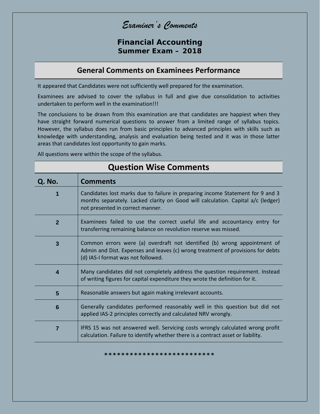*Examiner's Comments*

**Financial Accounting Summer Exam – 2018**

#### **General Comments on Examinees Performance**

It appeared that Candidates were not sufficiently well prepared for the examination.

Examinees are advised to cover the syllabus in full and give due consolidation to activities undertaken to perform well in the examination!!!

The conclusions to be drawn from this examination are that candidates are happiest when they have straight forward numerical questions to answer from a limited range of syllabus topics. However, the syllabus does run from basic principles to advanced principles with skills such as knowledge with understanding, analysis and evaluation being tested and it was in those latter areas that candidates lost opportunity to gain marks.

All questions were within the scope of the syllabus.

| <b>Question Wise Comments</b> |                                                                                                                                                                                                        |
|-------------------------------|--------------------------------------------------------------------------------------------------------------------------------------------------------------------------------------------------------|
| Q. No.                        | <b>Comments</b>                                                                                                                                                                                        |
| 1                             | Candidates lost marks due to failure in preparing income Statement for 9 and 3<br>months separately. Lacked clarity on Good will calculation. Capital a/c (ledger)<br>not presented in correct manner. |
| $\overline{2}$                | Examinees failed to use the correct useful life and accountancy entry for<br>transferring remaining balance on revolution reserve was missed.                                                          |
| $\overline{3}$                | Common errors were (a) overdraft not identified (b) wrong appointment of<br>Admin and Dist. Expenses and leaves (c) wrong treatment of provisions for debts<br>(d) IAS-I format was not followed.      |
| $\overline{4}$                | Many candidates did not completely address the question requirement. Instead<br>of writing figures for capital expenditure they wrote the definition for it.                                           |
| 5                             | Reasonable answers but again making irrelevant accounts.                                                                                                                                               |
| 6                             | Generally candidates performed reasonably well in this question but did not<br>applied IAS-2 principles correctly and calculated NRV wrongly.                                                          |
| $\overline{7}$                | IFRS 15 was not answered well. Servicing costs wrongly calculated wrong profit<br>calculation. Failure to identify whether there is a contract asset or liability.                                     |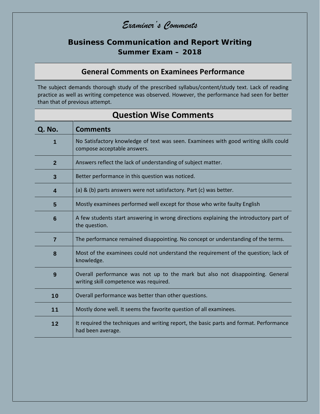### **Business Communication and Report Writing Summer Exam – 2018**

### **General Comments on Examinees Performance**

The subject demands thorough study of the prescribed syllabus/content/study text. Lack of reading practice as well as writing competence was observed. However, the performance had seen for better than that of previous attempt.

| QUESTION WISE COMMENTS |                                                                                                                          |  |
|------------------------|--------------------------------------------------------------------------------------------------------------------------|--|
| Q. No.                 | <b>Comments</b>                                                                                                          |  |
| 1                      | No Satisfactory knowledge of text was seen. Examinees with good writing skills could<br>compose acceptable answers.      |  |
| $\overline{2}$         | Answers reflect the lack of understanding of subject matter.                                                             |  |
| $\mathbf{3}$           | Better performance in this question was noticed.                                                                         |  |
| 4                      | (a) & (b) parts answers were not satisfactory. Part (c) was better.                                                      |  |
| $5\phantom{1}$         | Mostly examinees performed well except for those who write faulty English                                                |  |
| $6\phantom{1}6$        | A few students start answering in wrong directions explaining the introductory part of<br>the question.                  |  |
| $\overline{7}$         | The performance remained disappointing. No concept or understanding of the terms.                                        |  |
| 8                      | Most of the examinees could not understand the requirement of the question; lack of<br>knowledge.                        |  |
| 9                      | Overall performance was not up to the mark but also not disappointing. General<br>writing skill competence was required. |  |
| 10                     | Overall performance was better than other questions.                                                                     |  |
| 11                     | Mostly done well. It seems the favorite question of all examinees.                                                       |  |
| 12                     | It required the techniques and writing report, the basic parts and format. Performance<br>had been average.              |  |

### **Question Wise Comments**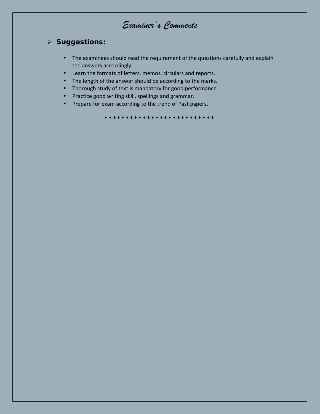#### > Suggestions:

- The examinees should read the requirement of the questions carefully and explain the answers accordingly.
- Learn the formats of letters, memos, circulars and reports.
- The length of the answer should be according to the marks.
- Thorough study of text is mandatory for good performance.
- Practice good writing skill, spellings and grammar.
- Prepare for exam according to the trend of Past papers.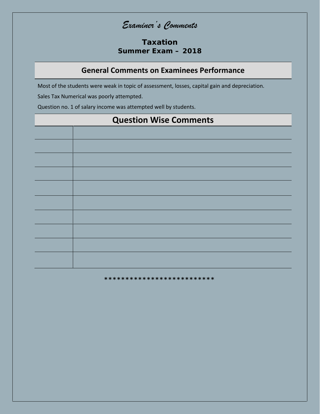#### Taxation Summer Exam - 2018

#### **General Comments on Examinees Performance**

Most of the students were weak in topic of assessment, losses, capital gain and depreciation.

Sales Tax Numerical was poorly attempted.

Question no. 1 of salary income was attempted well by students.

# **Question Wise Comments**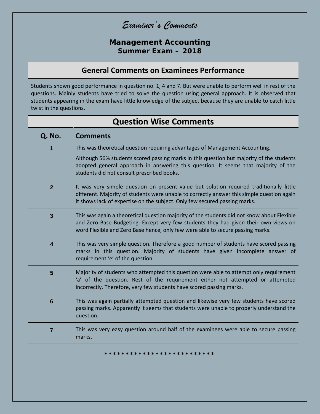#### **Management Accounting Summer Exam – 2018**

### **General Comments on Examinees Performance**

Students shown good performance in question no. 1, 4 and 7. But were unable to perform well in rest of the questions. Mainly students have tried to solve the question using general approach. It is observed that students appearing in the exam have little knowledge of the subject because they are unable to catch little twist in the questions.

**Question Wise Comments**

| Q. No.                  | <b>Comments</b>                                                                                                                                                                                                                                                     |
|-------------------------|---------------------------------------------------------------------------------------------------------------------------------------------------------------------------------------------------------------------------------------------------------------------|
|                         | This was theoretical question requiring advantages of Management Accounting.                                                                                                                                                                                        |
|                         | Although 56% students scored passing marks in this question but majority of the students<br>adopted general approach in answering this question. It seems that majority of the<br>students did not consult prescribed books.                                        |
| $\overline{2}$          | It was very simple question on present value but solution required traditionally little<br>different. Majority of students were unable to correctly answer this simple question again<br>it shows lack of expertise on the subject. Only few secured passing marks. |
| $\mathbf{3}$            | This was again a theoretical question majority of the students did not know about Flexible<br>and Zero Base Budgeting. Except very few students they had given their own views on<br>word Flexible and Zero Base hence, only few were able to secure passing marks. |
| $\overline{\mathbf{4}}$ | This was very simple question. Therefore a good number of students have scored passing<br>marks in this question. Majority of students have given incomplete answer of<br>requirement 'e' of the question.                                                          |
| $5\phantom{1}$          | Majority of students who attempted this question were able to attempt only requirement<br>'a' of the question. Rest of the requirement either not attempted or attempted<br>incorrectly. Therefore, very few students have scored passing marks.                    |
| $6\phantom{1}6$         | This was again partially attempted question and likewise very few students have scored<br>passing marks. Apparently it seems that students were unable to properly understand the<br>question.                                                                      |
| $\overline{7}$          | This was very easy question around half of the examinees were able to secure passing<br>marks.                                                                                                                                                                      |